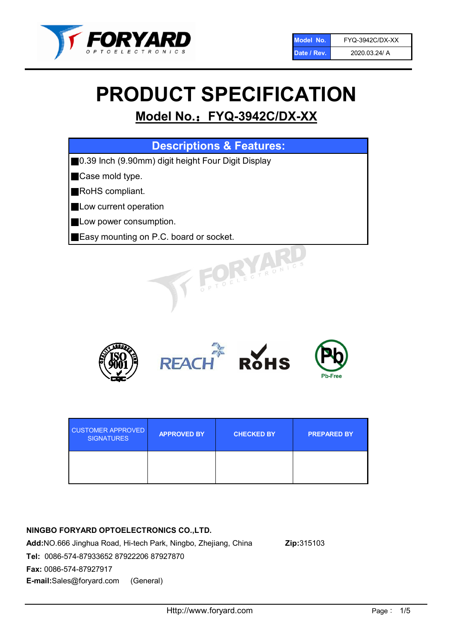

# PRODUCT SPECIFICATION

# Model No.: FYQ-3942C/DX-XX

| <b>Descriptions &amp; Features:</b>                |
|----------------------------------------------------|
| 0.39 Inch (9.90mm) digit height Four Digit Display |
| Case mold type.                                    |
| RoHS compliant.                                    |
| Low current operation                              |
| Low power consumption.                             |
| Easy mounting on P.C. board or socket.             |
| PTOELECTRONIC                                      |



| <b>CUSTOMER APPROVED</b><br><b>SIGNATURES</b> | <b>APPROVED BY</b> | <b>CHECKED BY</b> | <b>PREPARED BY</b> |
|-----------------------------------------------|--------------------|-------------------|--------------------|
|                                               |                    |                   |                    |

### NINGBO FORYARD OPTOELECTRONICS CO.,LTD.

Add:NO.666 Jinghua Road, Hi-tech Park, Ningbo, Zhejiang, China Zip:315103 Tel: 0086-574-87933652 87922206 87927870 Fax: 0086-574-87927917 E-mail:Sales@foryard.com (General)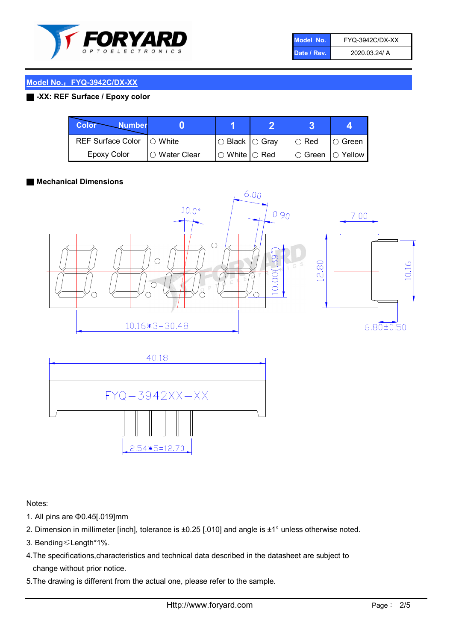

| Model No.   | FYQ-3942C/DX-XX |
|-------------|-----------------|
| Date / Rev. | 2020.03.24/ A   |

#### Model No.: FYQ-3942C/DX-XX

#### ■ -XX: REF Surface / Epoxy color

| Color<br><b>Number</b>     |                 |                           |             |                |
|----------------------------|-----------------|---------------------------|-------------|----------------|
| REF Surface Color  ○ White |                 | ○ Black  ○ Gray           | $\circ$ Red | IO Green       |
| Epoxy Color                | l ⊜ Water Clear | $\circ$ White $\circ$ Red | I⊖ Green    | $\circ$ Yellow |

#### ■ Mechanical Dimensions





Notes:

- 1. All pins are Φ0.45[.019]mm
- 2. Dimension in millimeter [inch], tolerance is ±0.25 [.010] and angle is ±1° unless otherwise noted.
- 3. Bending≤Length\*1%.
- 4.The specifications,characteristics and technical data described in the datasheet are subject to change without prior notice.
- 5.The drawing is different from the actual one, please refer to the sample.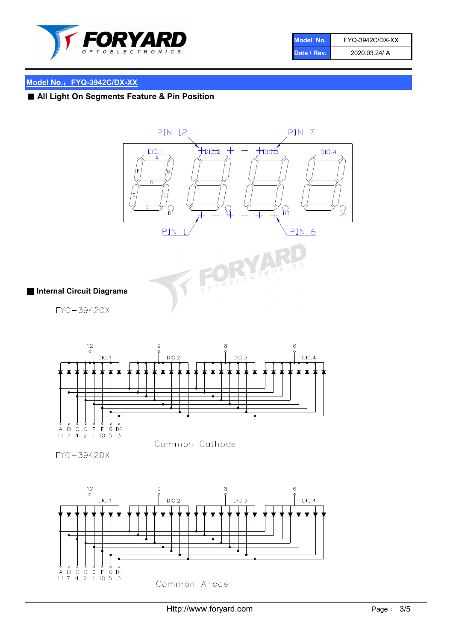

| Model No.   | FYQ-3942C/DX-XX |
|-------------|-----------------|
| Date / Rev. | 2020.03.24/ A   |

## Model No.: FYQ-3942C/DX-XX

# ■ All Light On Segments Feature & Pin Position





#### ■ Internal Circuit Diagrams

FYQ-3942CX



FYQ-3942DX

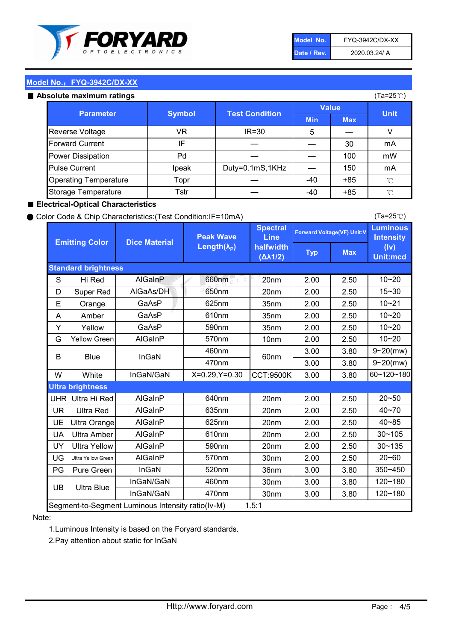

| Model No.   | FYQ-3942C/DX-XX |
|-------------|-----------------|
| Date / Rev. | 2020.03.24/ A   |

(Ta=25℃)

#### Model No.: FYQ-3942C/DX-XX

#### Absolute maximum

| solute maximum ratings       |               |                       |              |            | (Ta=25℃)    |
|------------------------------|---------------|-----------------------|--------------|------------|-------------|
| <b>Parameter</b>             | <b>Symbol</b> | <b>Test Condition</b> | <b>Value</b> |            |             |
|                              |               |                       | <b>Min</b>   | <b>Max</b> | <b>Unit</b> |
| Reverse Voltage              | VR            | $IR = 30$             | 5            |            |             |
| <b>Forward Current</b>       | IF            |                       |              | 30         | mA          |
| Power Dissipation            | Pd            |                       |              | 100        | mW          |
| <b>Pulse Current</b>         | Ipeak         | Duty=0.1mS,1KHz       |              | 150        | mA          |
| <b>Operating Temperature</b> | Topr          |                       | $-40$        | $+85$      | °C          |
| Storage Temperature          | Tstr          |                       | -40          | $+85$      | °C          |

#### ■ Electrical-Optical Characteristics

#### ● Color Code & Chip Characteristics:(Test Condition:IF=10mA)

Typ Max S | Hi $\textsf{Red}$  | AlGaInP | 660nm LE 20nm | 2.00 | 2.50 D | Super Red | AIGaAs/DH | 650nm | 20nm | 2.00 | 2.50 E | Orange | GaAsP | 625nm | 35nm | 2.00 | 2.50 A | Amber | GaAsP | 610nm | 35nm | 2.00 | 2.50 Y | Yellow | GaAsP | 590nm | 35nm | 2.00 | 2.50 G Yellow Green AIGaInP | 570nm | 10nm | 2.00 | 2.50 3.00 3.80 3.00 3.80 W | White | InGaN/GaN | X=0.29,Y=0.30 |CCT:9500K| 3.00 | 3.80 UHR Ultra Hi Red  $\vert$  AIGaInP  $\vert$  640nm  $\vert$  20nm  $\vert$  2.00  $\vert$  2.50 UR | Ultra Red | AlGaInP | 635nm | 20nm | 2.00 | 2.50 UE Ultra Orange | AIGaInP | 625nm | 20nm | 2.00 | 2.50 UA Ultra Amber | AIGaInP | 610nm | 20nm | 2.00 | 2.50  $UV$  Ultra Yellow  $\vert$  AlGaInP  $\vert$  590nm  $\vert$  20nm  $\vert$  2.00  $\vert$  2.50  $\text{UG}$  Ultra Yellow Green | AIGaInP | 570nm | 30nm | 2.00 | 2.50 PG | Pure Green | InGaN | 520nm | 36nm | 3.00 | 3.80 30nm 3.00 3.80 30nm 3.00 3.80 40~85 60~120~180 40~70 Segment-to-Segment Luminous Intensity ratio(Iv-M) 1.5:1 610nm 9~20(mw) 350~450 470nm 120~180 120~180 Ultra Blue InGaN/GaN 9~20(mw) 20~50 570nm | 30nm | 2.00 | 2.50 | 20~60 470nm 590nm InGaN/GaN B Blue I InGaN 570nm | 10nm | 2.00 | 2.50 | 10~20 30~105 30~135 460nm 520nm Ultra brightness **AlGaInP** AlGaInP 60nm AlGaInP 640nm Peak Wave Length $(\lambda_{\rm P})$ UB 460nm 635nm AlGaInP AlGaInP AlGaInP InGaN/GaN AlGaInP 10~20 Luminous **Intensity** (Iv) Unit:mcd AlGainP 660nm GaAsP GaAsP AlGaAs/DH **Spectral** Line halfwidth (∆λ1/2) 10~20 Standard brightness Forward Voltage(VF) Unit:V 15~30 10~20 625nm GaAsP 590nm **Emitting Color Dice Material** 10~21 610nm

#### Note:

1.Luminous Intensity is based on the Foryard standards.

2.Pay attention about static for InGaN